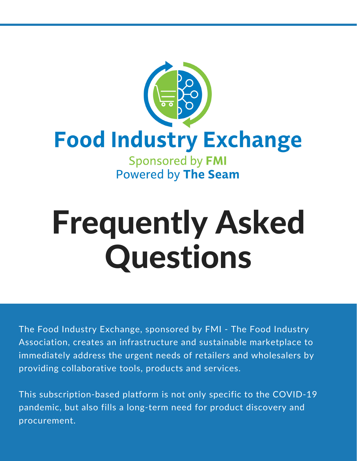

# Frequently Asked Questions

The Food Industry Exchange, sponsored by FMI - The Food Industry Association, creates an infrastructure and sustainable marketplace to immediately address the urgent needs of retailers and wholesalers by providing collaborative tools, products and services.

This subscription-based platform is not only specific to the COVID-19 pandemic, but also fills a long-term need for product discovery and procurement.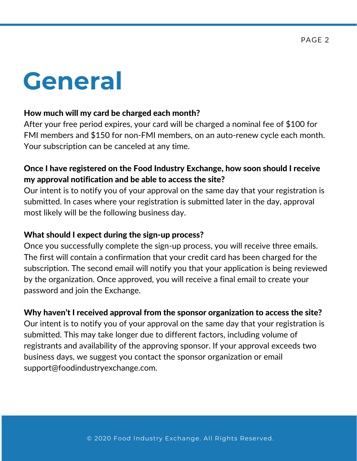### **General**

#### How much will my card be charged each month?

After your free period expires, your card will be charged a nominal fee of \$100 for FMI members and \$150 for non-FMI members, on an auto-renew cycle each month. Your subscription can be canceled at any time.

#### Once I have registered on the Food Industry Exchange, how soon should I receive my approval notification and be able to access the site?

Our intent is to notify you of your approval on the same day that your registration is submitted. In cases where your registration is submitted later in the day, approval most likely will be the following business day.

#### What should I expect during the sign-up process?

Once you successfully complete the sign-up process, you will receive three emails. The first will contain a confirmation that your credit card has been charged for the subscription. The second email will notify you that your application is being reviewed by the organization. Once approved, you will receive a final email to create your password and join the Exchange.

#### Why haven't I received approval from the sponsor organization to access the site?

Our intent is to notify you of your approval on the same day that your registration is submitted. This may take longer due to different factors, including volume of registrants and availability of the approving sponsor. If your approval exceeds two business days, we suggest you contact the sponsor organization or email support@foodindustryexchange.com.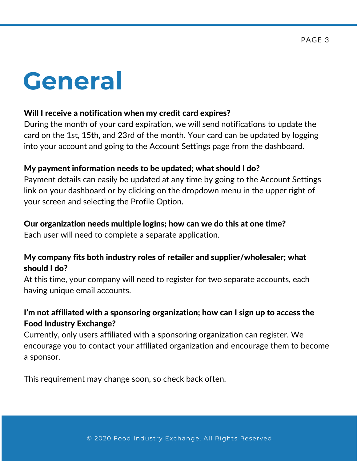### **General**

#### Will I receive a notification when my credit card expires?

During the month of your card expiration, we will send notifications to update the card on the 1st, 15th, and 23rd of the month. Your card can be updated by logging into your account and going to the Account Settings page from the dashboard.

#### My payment information needs to be updated; what should I do?

Payment details can easily be updated at any time by going to the Account Settings link on your dashboard or by clicking on the dropdown menu in the upper right of your screen and selecting the Profile Option.

#### Our organization needs multiple logins; how can we do this at one time?

Each user will need to complete a separate application.

#### My company fits both industry roles of retailer and supplier/wholesaler; what should I do?

At this time, your company will need to register for two separate accounts, each having unique email accounts.

#### I'm not affiliated with a sponsoring organization; how can I sign up to access the Food Industry Exchange?

Currently, only users affiliated with a sponsoring organization can register. We encourage you to contact your affiliated organization and encourage them to become a sponsor.

This requirement may change soon, so check back often.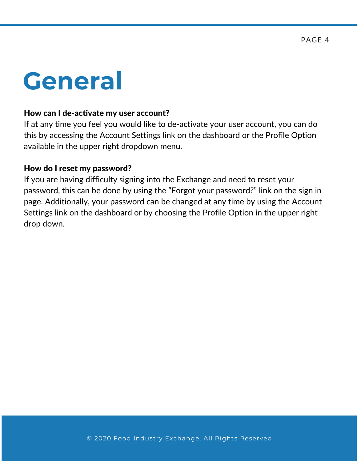### **General**

#### How can I de-activate my user account?

If at any time you feel you would like to de-activate your user account, you can do this by accessing the Account Settings link on the dashboard or the Profile Option available in the upper right dropdown menu.

#### How do I reset my password?

If you are having difficulty signing into the Exchange and need to reset your password, this can be done by using the "Forgot your password?" link on the sign in page. Additionally, your password can be changed at any time by using the Account Settings link on the dashboard or by choosing the Profile Option in the upper right drop down.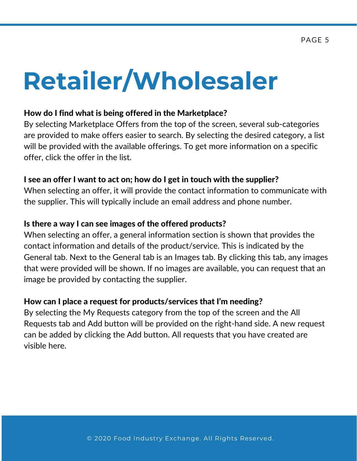### **Retailer/Wholesaler**

#### How do I find what is being offered in the Marketplace?

By selecting Marketplace Offers from the top of the screen, several sub-categories are provided to make offers easier to search. By selecting the desired category, a list will be provided with the available offerings. To get more information on a specific offer, click the offer in the list.

#### I see an offer I want to act on; how do I get in touch with the supplier?

When selecting an offer, it will provide the contact information to communicate with the supplier. This will typically include an email address and phone number.

#### Is there a way I can see images of the offered products?

When selecting an offer, a general information section is shown that provides the contact information and details of the product/service. This is indicated by the General tab. Next to the General tab is an Images tab. By clicking this tab, any images that were provided will be shown. If no images are available, you can request that an image be provided by contacting the supplier.

#### How can I place a request for products/services that I'm needing?

By selecting the My Requests category from the top of the screen and the All Requests tab and Add button will be provided on the right-hand side. A new request can be added by clicking the Add button. All requests that you have created are visible here.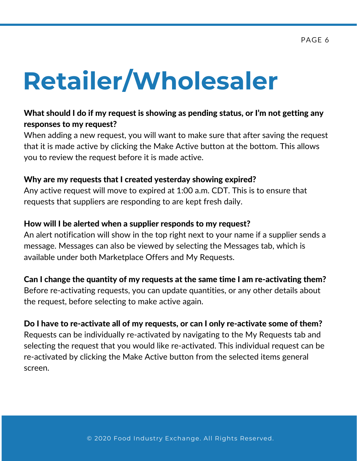## **Retailer/Wholesaler**

#### What should I do if my request is showing as pending status, or I'm not getting any responses to my request?

When adding a new request, you will want to make sure that after saving the request that it is made active by clicking the Make Active button at the bottom. This allows you to review the request before it is made active.

#### Why are my requests that I created yesterday showing expired?

Any active request will move to expired at 1:00 a.m. CDT. This is to ensure that requests that suppliers are responding to are kept fresh daily.

#### How will I be alerted when a supplier responds to my request?

An alert notification will show in the top right next to your name if a supplier sends a message. Messages can also be viewed by selecting the Messages tab, which is available under both Marketplace Offers and My Requests.

Can I change the quantity of my requests at the same time I am re-activating them?

Before re-activating requests, you can update quantities, or any other details about the request, before selecting to make active again.

#### Do I have to re-activate all of my requests, or can I only re-activate some of them?

Requests can be individually re-activated by navigating to the My Requests tab and selecting the request that you would like re-activated. This individual request can be re-activated by clicking the Make Active button from the selected items general screen.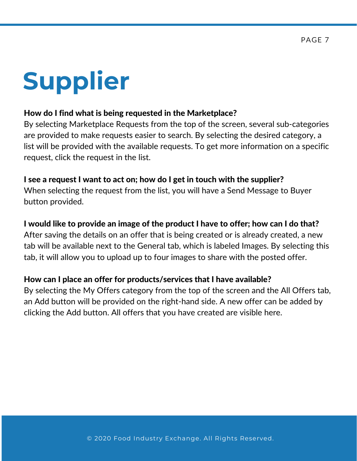## **Supplier**

#### How do I find what is being requested in the Marketplace?

By selecting Marketplace Requests from the top of the screen, several sub-categories are provided to make requests easier to search. By selecting the desired category, a list will be provided with the available requests. To get more information on a specific request, click the request in the list.

#### I see a request I want to act on; how do I get in touch with the supplier?

When selecting the request from the list, you will have a Send Message to Buyer button provided.

#### I would like to provide an image of the product I have to offer; how can I do that?

After saving the details on an offer that is being created or is already created, a new tab will be available next to the General tab, which is labeled Images. By selecting this tab, it will allow you to upload up to four images to share with the posted offer.

#### How can I place an offer for products/services that I have available?

By selecting the My Offers category from the top of the screen and the All Offers tab, an Add button will be provided on the right-hand side. A new offer can be added by clicking the Add button. All offers that you have created are visible here.